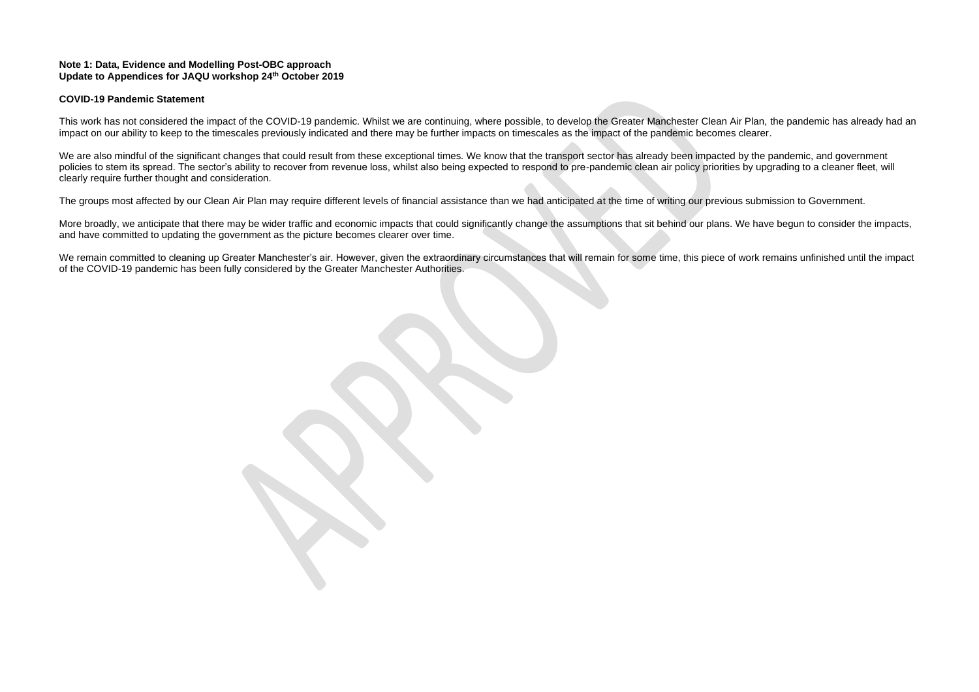#### **Note 1: Data, Evidence and Modelling Post-OBC approach Update to Appendices for JAQU workshop 24th October 2019**

### **COVID-19 Pandemic Statement**

This work has not considered the impact of the COVID-19 pandemic. Whilst we are continuing, where possible, to develop the Greater Manchester Clean Air Plan, the pandemic has already had an impact on our ability to keep to the timescales previously indicated and there may be further impacts on timescales as the impact of the pandemic becomes clearer.

We are also mindful of the significant changes that could result from these exceptional times. We know that the transport sector has already been impacted by the pandemic, and government policies to stem its spread. The sector's ability to recover from revenue loss, whilst also being expected to respond to pre-pandemic clean air policy priorities by upgrading to a cleaner fleet, will clearly require further thought and consideration.

More broadly, we anticipate that there may be wider traffic and economic impacts that could significantly change the assumptions that sit behind our plans. We have begun to consider the impacts, and have committed to updating the government as the picture becomes clearer over time.

We remain committed to cleaning up Greater Manchester's air. However, given the extraordinary circumstances that will remain for some time, this piece of work remains unfinished until the impact of the COVID-19 pandemic has been fully considered by the Greater Manchester Authorities.

The groups most affected by our Clean Air Plan may require different levels of financial assistance than we had anticipated at the time of writing our previous submission to Government.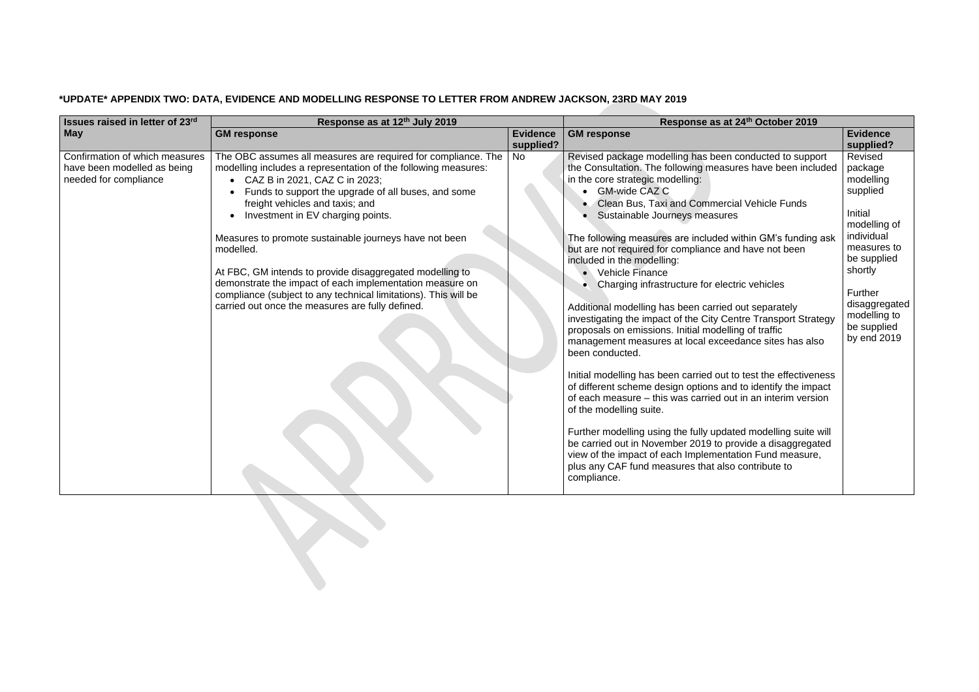# **\*UPDATE\* APPENDIX TWO: DATA, EVIDENCE AND MODELLING RESPONSE TO LETTER FROM ANDREW JACKSON, 23RD MAY 2019**

| Issues raised in letter of 23rd                                                        | Response as at 12th July 2019                                                                                                                                                                                                                                                                                                                                                                                                                                                                                                                                                                                         | Response as at 24th October 2019 |                                                                                                                                                                                                                                                                                                                                                                                                                                                                                                                                                                                                                                                                                                                                                                                                                                                                                                                                                                                                                                                                                                                                                                                                                                                                |                                                                                                                                                                                                         |
|----------------------------------------------------------------------------------------|-----------------------------------------------------------------------------------------------------------------------------------------------------------------------------------------------------------------------------------------------------------------------------------------------------------------------------------------------------------------------------------------------------------------------------------------------------------------------------------------------------------------------------------------------------------------------------------------------------------------------|----------------------------------|----------------------------------------------------------------------------------------------------------------------------------------------------------------------------------------------------------------------------------------------------------------------------------------------------------------------------------------------------------------------------------------------------------------------------------------------------------------------------------------------------------------------------------------------------------------------------------------------------------------------------------------------------------------------------------------------------------------------------------------------------------------------------------------------------------------------------------------------------------------------------------------------------------------------------------------------------------------------------------------------------------------------------------------------------------------------------------------------------------------------------------------------------------------------------------------------------------------------------------------------------------------|---------------------------------------------------------------------------------------------------------------------------------------------------------------------------------------------------------|
| <b>May</b>                                                                             | <b>GM response</b>                                                                                                                                                                                                                                                                                                                                                                                                                                                                                                                                                                                                    | <b>Evidence</b><br>supplied?     | <b>GM</b> response                                                                                                                                                                                                                                                                                                                                                                                                                                                                                                                                                                                                                                                                                                                                                                                                                                                                                                                                                                                                                                                                                                                                                                                                                                             | <b>Evidence</b><br>supplied?                                                                                                                                                                            |
| Confirmation of which measures<br>have been modelled as being<br>needed for compliance | The OBC assumes all measures are required for compliance. The<br>modelling includes a representation of the following measures:<br>CAZ B in 2021, CAZ C in 2023;<br>Funds to support the upgrade of all buses, and some<br>freight vehicles and taxis; and<br>Investment in EV charging points.<br>Measures to promote sustainable journeys have not been<br>modelled.<br>At FBC, GM intends to provide disaggregated modelling to<br>demonstrate the impact of each implementation measure on<br>compliance (subject to any technical limitations). This will be<br>carried out once the measures are fully defined. | No                               | Revised package modelling has been conducted to support<br>the Consultation. The following measures have been included<br>in the core strategic modelling:<br><b>GM-wide CAZ C</b><br>Clean Bus, Taxi and Commercial Vehicle Funds<br>Sustainable Journeys measures<br>The following measures are included within GM's funding ask<br>but are not required for compliance and have not been<br>included in the modelling:<br>• Vehicle Finance<br>Charging infrastructure for electric vehicles<br>Additional modelling has been carried out separately<br>investigating the impact of the City Centre Transport Strategy<br>proposals on emissions. Initial modelling of traffic<br>management measures at local exceedance sites has also<br>been conducted.<br>Initial modelling has been carried out to test the effectiveness<br>of different scheme design options and to identify the impact<br>of each measure – this was carried out in an interim version<br>of the modelling suite.<br>Further modelling using the fully updated modelling suite will<br>be carried out in November 2019 to provide a disaggregated<br>view of the impact of each Implementation Fund measure,<br>plus any CAF fund measures that also contribute to<br>compliance. | Revised<br>package<br>modelling<br>supplied<br>Initial<br>modelling of<br>individual<br>measures to<br>be supplied<br>shortly<br>Further<br>disaggregated<br>modelling to<br>be supplied<br>by end 2019 |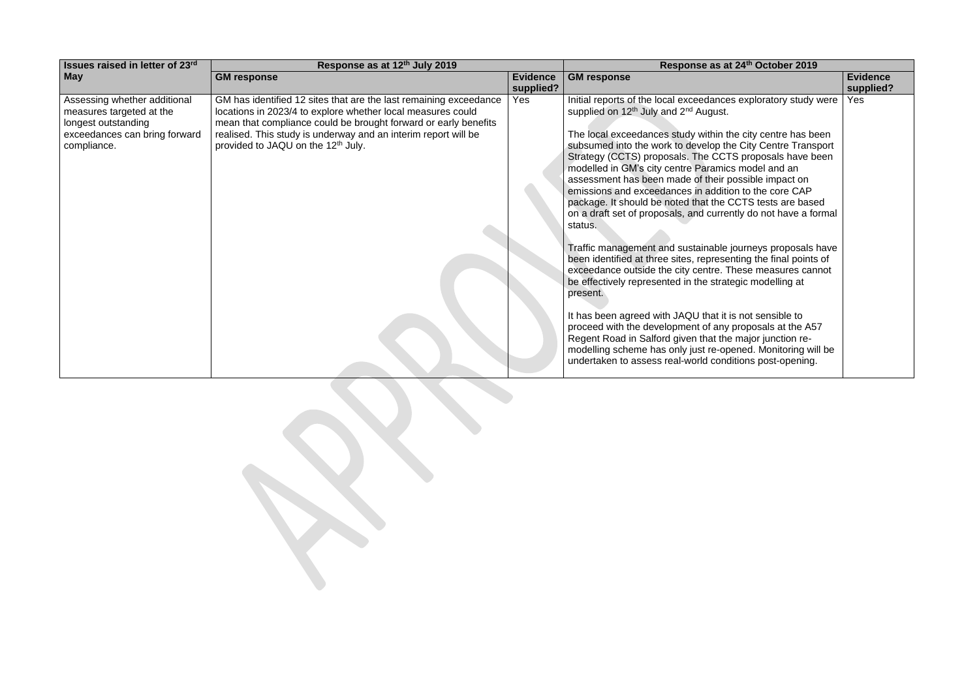| <b>Issues raised in letter of 23rd</b><br>Response as at 12th July 2019                                                                                                                                                                                                                                                                                                                                                                                                      | Response as at 24th October 2019                                                                                                                                                                                                                                                                                                                                                                                                                                                                                                                                                                                                                                                                                                                                                                                                                                                                                                                                                                                                                                                                                                                                                                                       |                              |  |
|------------------------------------------------------------------------------------------------------------------------------------------------------------------------------------------------------------------------------------------------------------------------------------------------------------------------------------------------------------------------------------------------------------------------------------------------------------------------------|------------------------------------------------------------------------------------------------------------------------------------------------------------------------------------------------------------------------------------------------------------------------------------------------------------------------------------------------------------------------------------------------------------------------------------------------------------------------------------------------------------------------------------------------------------------------------------------------------------------------------------------------------------------------------------------------------------------------------------------------------------------------------------------------------------------------------------------------------------------------------------------------------------------------------------------------------------------------------------------------------------------------------------------------------------------------------------------------------------------------------------------------------------------------------------------------------------------------|------------------------------|--|
| <b>May</b><br><b>GM response</b><br><b>Evidence</b><br>supplied?                                                                                                                                                                                                                                                                                                                                                                                                             | <b>GM response</b>                                                                                                                                                                                                                                                                                                                                                                                                                                                                                                                                                                                                                                                                                                                                                                                                                                                                                                                                                                                                                                                                                                                                                                                                     | <b>Evidence</b><br>supplied? |  |
| Assessing whether additional<br>GM has identified 12 sites that are the last remaining exceedance<br>Yes<br>locations in 2023/4 to explore whether local measures could<br>measures targeted at the<br>mean that compliance could be brought forward or early benefits<br>longest outstanding<br>exceedances can bring forward<br>realised. This study is underway and an interim report will be<br>provided to JAQU on the 12 <sup>th</sup> July.<br>compliance.<br>status. | Initial reports of the local exceedances exploratory study were<br>supplied on 12 <sup>th</sup> July and 2 <sup>nd</sup> August.<br>The local exceedances study within the city centre has been<br>subsumed into the work to develop the City Centre Transport<br>Strategy (CCTS) proposals. The CCTS proposals have been<br>modelled in GM's city centre Paramics model and an<br>assessment has been made of their possible impact on<br>emissions and exceedances in addition to the core CAP<br>package. It should be noted that the CCTS tests are based<br>on a draft set of proposals, and currently do not have a formal<br>Traffic management and sustainable journeys proposals have<br>been identified at three sites, representing the final points of<br>exceedance outside the city centre. These measures cannot<br>be effectively represented in the strategic modelling at<br>present.<br>It has been agreed with JAQU that it is not sensible to<br>proceed with the development of any proposals at the A57<br>Regent Road in Salford given that the major junction re-<br>modelling scheme has only just re-opened. Monitoring will be<br>undertaken to assess real-world conditions post-opening. | Yes                          |  |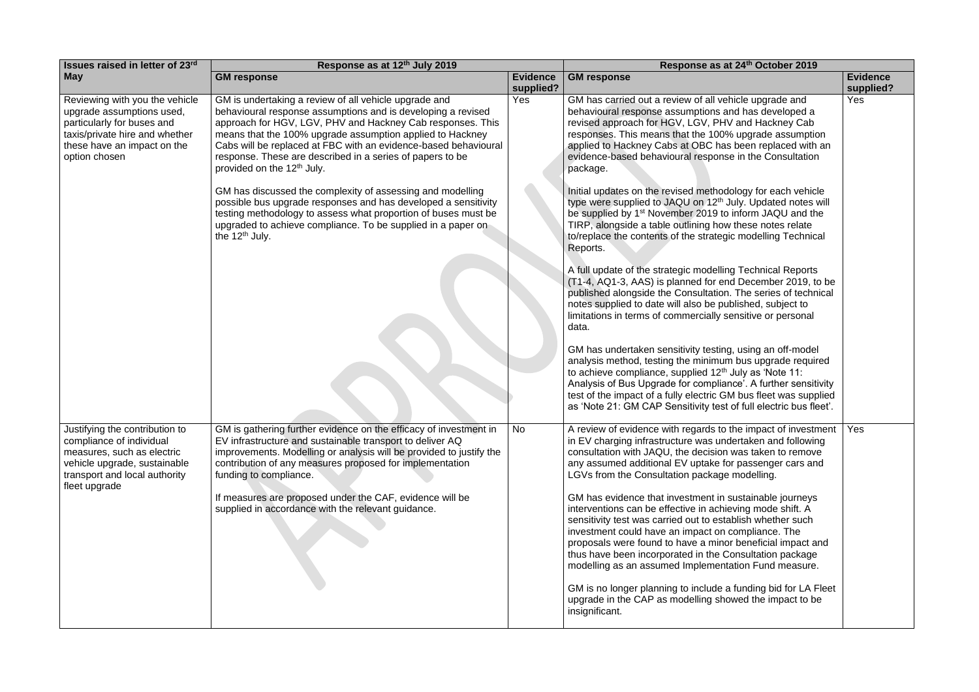| Issues raised in letter of 23rd                                                                                                                                             | Response as at 12th July 2019                                                                                                                                                                                                                                                                                                                                                                                              |                              | Response as at 24th October 2019                                                                                                                                                                                                                                                                                                                                                                                          |                              |
|-----------------------------------------------------------------------------------------------------------------------------------------------------------------------------|----------------------------------------------------------------------------------------------------------------------------------------------------------------------------------------------------------------------------------------------------------------------------------------------------------------------------------------------------------------------------------------------------------------------------|------------------------------|---------------------------------------------------------------------------------------------------------------------------------------------------------------------------------------------------------------------------------------------------------------------------------------------------------------------------------------------------------------------------------------------------------------------------|------------------------------|
| <b>May</b>                                                                                                                                                                  | <b>GM response</b>                                                                                                                                                                                                                                                                                                                                                                                                         | <b>Evidence</b><br>supplied? | <b>GM</b> response                                                                                                                                                                                                                                                                                                                                                                                                        | <b>Evidence</b><br>supplied? |
| Reviewing with you the vehicle<br>upgrade assumptions used,<br>particularly for buses and<br>taxis/private hire and whether<br>these have an impact on the<br>option chosen | GM is undertaking a review of all vehicle upgrade and<br>behavioural response assumptions and is developing a revised<br>approach for HGV, LGV, PHV and Hackney Cab responses. This<br>means that the 100% upgrade assumption applied to Hackney<br>Cabs will be replaced at FBC with an evidence-based behavioural<br>response. These are described in a series of papers to be<br>provided on the 12 <sup>th</sup> July. | Yes                          | GM has carried out a review of all vehicle upgrade and<br>behavioural response assumptions and has developed a<br>revised approach for HGV, LGV, PHV and Hackney Cab<br>responses. This means that the 100% upgrade assumption<br>applied to Hackney Cabs at OBC has been replaced with an<br>evidence-based behavioural response in the Consultation<br>package.                                                         | Yes                          |
|                                                                                                                                                                             | GM has discussed the complexity of assessing and modelling<br>possible bus upgrade responses and has developed a sensitivity<br>testing methodology to assess what proportion of buses must be<br>upgraded to achieve compliance. To be supplied in a paper on<br>the $12th$ July.                                                                                                                                         |                              | Initial updates on the revised methodology for each vehicle<br>type were supplied to JAQU on 12 <sup>th</sup> July. Updated notes will<br>be supplied by 1 <sup>st</sup> November 2019 to inform JAQU and the<br>TIRP, alongside a table outlining how these notes relate<br>to/replace the contents of the strategic modelling Technical<br>Reports.                                                                     |                              |
|                                                                                                                                                                             |                                                                                                                                                                                                                                                                                                                                                                                                                            |                              | A full update of the strategic modelling Technical Reports<br>(T1-4, AQ1-3, AAS) is planned for end December 2019, to be<br>published alongside the Consultation. The series of technical<br>notes supplied to date will also be published, subject to<br>limitations in terms of commercially sensitive or personal<br>data.                                                                                             |                              |
|                                                                                                                                                                             |                                                                                                                                                                                                                                                                                                                                                                                                                            |                              | GM has undertaken sensitivity testing, using an off-model<br>analysis method, testing the minimum bus upgrade required<br>to achieve compliance, supplied 12 <sup>th</sup> July as 'Note 11:<br>Analysis of Bus Upgrade for compliance'. A further sensitivity<br>test of the impact of a fully electric GM bus fleet was supplied<br>as 'Note 21: GM CAP Sensitivity test of full electric bus fleet'.                   |                              |
| Justifying the contribution to<br>compliance of individual<br>measures, such as electric<br>vehicle upgrade, sustainable<br>transport and local authority<br>fleet upgrade  | GM is gathering further evidence on the efficacy of investment in<br>EV infrastructure and sustainable transport to deliver AQ<br>improvements. Modelling or analysis will be provided to justify the<br>contribution of any measures proposed for implementation<br>funding to compliance.                                                                                                                                | No.                          | A review of evidence with regards to the impact of investment<br>in EV charging infrastructure was undertaken and following<br>consultation with JAQU, the decision was taken to remove<br>any assumed additional EV uptake for passenger cars and<br>LGVs from the Consultation package modelling.                                                                                                                       | Yes                          |
|                                                                                                                                                                             | If measures are proposed under the CAF, evidence will be<br>supplied in accordance with the relevant guidance.                                                                                                                                                                                                                                                                                                             |                              | GM has evidence that investment in sustainable journeys<br>interventions can be effective in achieving mode shift. A<br>sensitivity test was carried out to establish whether such<br>investment could have an impact on compliance. The<br>proposals were found to have a minor beneficial impact and<br>thus have been incorporated in the Consultation package<br>modelling as an assumed Implementation Fund measure. |                              |
|                                                                                                                                                                             |                                                                                                                                                                                                                                                                                                                                                                                                                            |                              | GM is no longer planning to include a funding bid for LA Fleet<br>upgrade in the CAP as modelling showed the impact to be<br>insignificant.                                                                                                                                                                                                                                                                               |                              |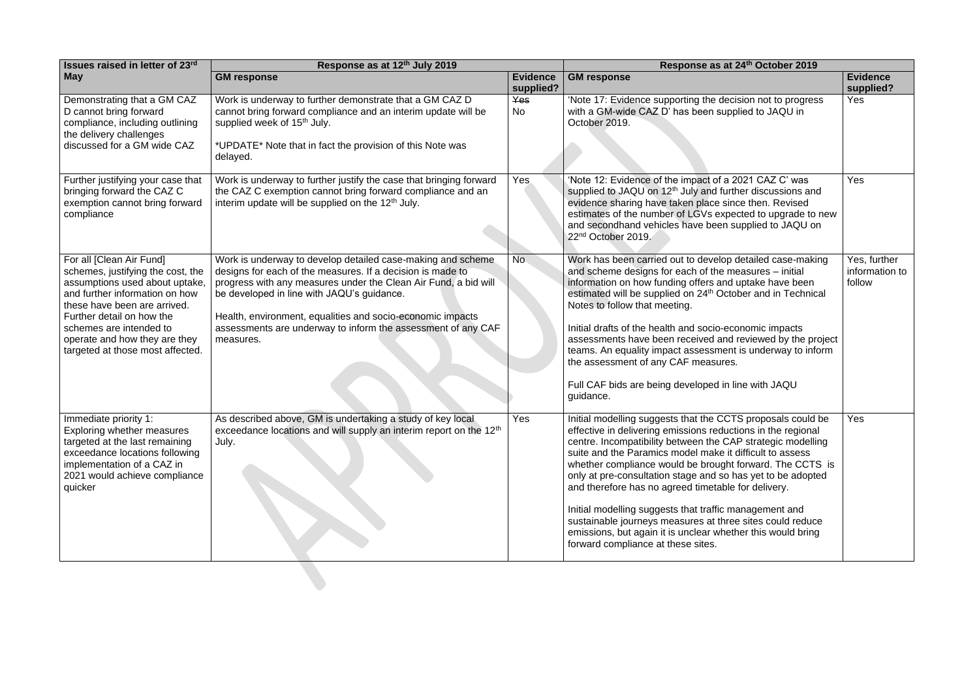| Issues raised in letter of 23rd                                                                                                                                                                                                                                                                | Response as at 12th July 2019                                                                                                                                                                                                                                                                                                                                                         | Response as at 24th October 2019 |                                                                                                                                                                                                                                                                                                                                                                                                                                                                                                                                                                                                                                                                      |                                          |
|------------------------------------------------------------------------------------------------------------------------------------------------------------------------------------------------------------------------------------------------------------------------------------------------|---------------------------------------------------------------------------------------------------------------------------------------------------------------------------------------------------------------------------------------------------------------------------------------------------------------------------------------------------------------------------------------|----------------------------------|----------------------------------------------------------------------------------------------------------------------------------------------------------------------------------------------------------------------------------------------------------------------------------------------------------------------------------------------------------------------------------------------------------------------------------------------------------------------------------------------------------------------------------------------------------------------------------------------------------------------------------------------------------------------|------------------------------------------|
| <b>May</b>                                                                                                                                                                                                                                                                                     | <b>GM response</b>                                                                                                                                                                                                                                                                                                                                                                    | <b>Evidence</b><br>supplied?     | <b>GM</b> response                                                                                                                                                                                                                                                                                                                                                                                                                                                                                                                                                                                                                                                   | <b>Evidence</b><br>supplied?             |
| Demonstrating that a GM CAZ<br>D cannot bring forward<br>compliance, including outlining<br>the delivery challenges<br>discussed for a GM wide CAZ                                                                                                                                             | Work is underway to further demonstrate that a GM CAZ D<br>cannot bring forward compliance and an interim update will be<br>supplied week of 15 <sup>th</sup> July.<br>*UPDATE* Note that in fact the provision of this Note was<br>delayed.                                                                                                                                          | Yes<br>No                        | 'Note 17: Evidence supporting the decision not to progress<br>with a GM-wide CAZ D' has been supplied to JAQU in<br>October 2019.                                                                                                                                                                                                                                                                                                                                                                                                                                                                                                                                    | Yes                                      |
| Further justifying your case that<br>bringing forward the CAZ C<br>exemption cannot bring forward<br>compliance                                                                                                                                                                                | Work is underway to further justify the case that bringing forward<br>the CAZ C exemption cannot bring forward compliance and an<br>interim update will be supplied on the 12 <sup>th</sup> July.                                                                                                                                                                                     | Yes                              | 'Note 12: Evidence of the impact of a 2021 CAZ C' was<br>supplied to JAQU on 12 <sup>th</sup> July and further discussions and<br>evidence sharing have taken place since then. Revised<br>estimates of the number of LGVs expected to upgrade to new<br>and secondhand vehicles have been supplied to JAQU on<br>22 <sup>nd</sup> October 2019.                                                                                                                                                                                                                                                                                                                     | Yes                                      |
| For all [Clean Air Fund]<br>schemes, justifying the cost, the<br>assumptions used about uptake,<br>and further information on how<br>these have been are arrived.<br>Further detail on how the<br>schemes are intended to<br>operate and how they are they<br>targeted at those most affected. | Work is underway to develop detailed case-making and scheme<br>designs for each of the measures. If a decision is made to<br>progress with any measures under the Clean Air Fund, a bid will<br>be developed in line with JAQU's guidance.<br>Health, environment, equalities and socio-economic impacts<br>assessments are underway to inform the assessment of any CAF<br>measures. | No.                              | Work has been carried out to develop detailed case-making<br>and scheme designs for each of the measures - initial<br>information on how funding offers and uptake have been<br>estimated will be supplied on 24 <sup>th</sup> October and in Technical<br>Notes to follow that meeting.<br>Initial drafts of the health and socio-economic impacts<br>assessments have been received and reviewed by the project<br>teams. An equality impact assessment is underway to inform<br>the assessment of any CAF measures.<br>Full CAF bids are being developed in line with JAQU<br>guidance.                                                                           | Yes, further<br>information to<br>follow |
| Immediate priority 1:<br>Exploring whether measures<br>targeted at the last remaining<br>exceedance locations following<br>implementation of a CAZ in<br>2021 would achieve compliance<br>quicker                                                                                              | As described above, GM is undertaking a study of key local<br>exceedance locations and will supply an interim report on the 12 <sup>th</sup><br>July.                                                                                                                                                                                                                                 | Yes                              | Initial modelling suggests that the CCTS proposals could be<br>effective in delivering emissions reductions in the regional<br>centre. Incompatibility between the CAP strategic modelling<br>suite and the Paramics model make it difficult to assess<br>whether compliance would be brought forward. The CCTS is<br>only at pre-consultation stage and so has yet to be adopted<br>and therefore has no agreed timetable for delivery.<br>Initial modelling suggests that traffic management and<br>sustainable journeys measures at three sites could reduce<br>emissions, but again it is unclear whether this would bring<br>forward compliance at these sites. | Yes                                      |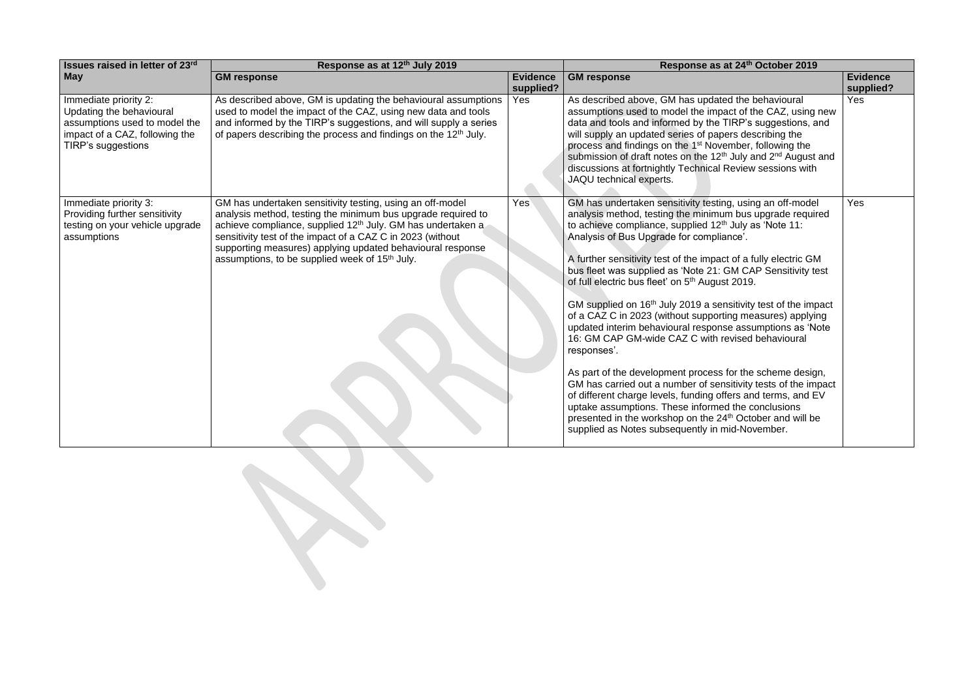| Issues raised in letter of 23rd                                                                                                            | Response as at 12th July 2019                                                                                                                                                                                                                                                                                                                                                                  |                              | Response as at 24th October 2019                                                                                                                                                                                                                                                                                                                                                                                                                                                                                                                                                                                                                                                                                                                                                                                                                                                                                                                                                                                                                                                                       |                              |  |  |
|--------------------------------------------------------------------------------------------------------------------------------------------|------------------------------------------------------------------------------------------------------------------------------------------------------------------------------------------------------------------------------------------------------------------------------------------------------------------------------------------------------------------------------------------------|------------------------------|--------------------------------------------------------------------------------------------------------------------------------------------------------------------------------------------------------------------------------------------------------------------------------------------------------------------------------------------------------------------------------------------------------------------------------------------------------------------------------------------------------------------------------------------------------------------------------------------------------------------------------------------------------------------------------------------------------------------------------------------------------------------------------------------------------------------------------------------------------------------------------------------------------------------------------------------------------------------------------------------------------------------------------------------------------------------------------------------------------|------------------------------|--|--|
| <b>May</b>                                                                                                                                 | <b>GM response</b>                                                                                                                                                                                                                                                                                                                                                                             | <b>Evidence</b><br>supplied? | <b>GM response</b>                                                                                                                                                                                                                                                                                                                                                                                                                                                                                                                                                                                                                                                                                                                                                                                                                                                                                                                                                                                                                                                                                     | <b>Evidence</b><br>supplied? |  |  |
| Immediate priority 2:<br>Updating the behavioural<br>assumptions used to model the<br>impact of a CAZ, following the<br>TIRP's suggestions | As described above, GM is updating the behavioural assumptions<br>used to model the impact of the CAZ, using new data and tools<br>and informed by the TIRP's suggestions, and will supply a series<br>of papers describing the process and findings on the 12 <sup>th</sup> July.                                                                                                             | Yes                          | As described above, GM has updated the behavioural<br>assumptions used to model the impact of the CAZ, using new<br>data and tools and informed by the TIRP's suggestions, and<br>will supply an updated series of papers describing the<br>process and findings on the 1 <sup>st</sup> November, following the<br>submission of draft notes on the 12 <sup>th</sup> July and 2 <sup>nd</sup> August and<br>discussions at fortnightly Technical Review sessions with<br>JAQU technical experts.                                                                                                                                                                                                                                                                                                                                                                                                                                                                                                                                                                                                       | Yes                          |  |  |
| Immediate priority 3:<br>Providing further sensitivity<br>testing on your vehicle upgrade<br>assumptions                                   | GM has undertaken sensitivity testing, using an off-model<br>analysis method, testing the minimum bus upgrade required to<br>achieve compliance, supplied 12 <sup>th</sup> July. GM has undertaken a<br>sensitivity test of the impact of a CAZ C in 2023 (without<br>supporting measures) applying updated behavioural response<br>assumptions, to be supplied week of 15 <sup>th</sup> July. | Yes                          | GM has undertaken sensitivity testing, using an off-model<br>analysis method, testing the minimum bus upgrade required<br>to achieve compliance, supplied 12 <sup>th</sup> July as 'Note 11:<br>Analysis of Bus Upgrade for compliance'.<br>A further sensitivity test of the impact of a fully electric GM<br>bus fleet was supplied as 'Note 21: GM CAP Sensitivity test<br>of full electric bus fleet' on 5 <sup>th</sup> August 2019.<br>GM supplied on 16 <sup>th</sup> July 2019 a sensitivity test of the impact<br>of a CAZ C in 2023 (without supporting measures) applying<br>updated interim behavioural response assumptions as 'Note<br>16: GM CAP GM-wide CAZ C with revised behavioural<br>responses'.<br>As part of the development process for the scheme design,<br>GM has carried out a number of sensitivity tests of the impact<br>of different charge levels, funding offers and terms, and EV<br>uptake assumptions. These informed the conclusions<br>presented in the workshop on the 24 <sup>th</sup> October and will be<br>supplied as Notes subsequently in mid-November. | Yes                          |  |  |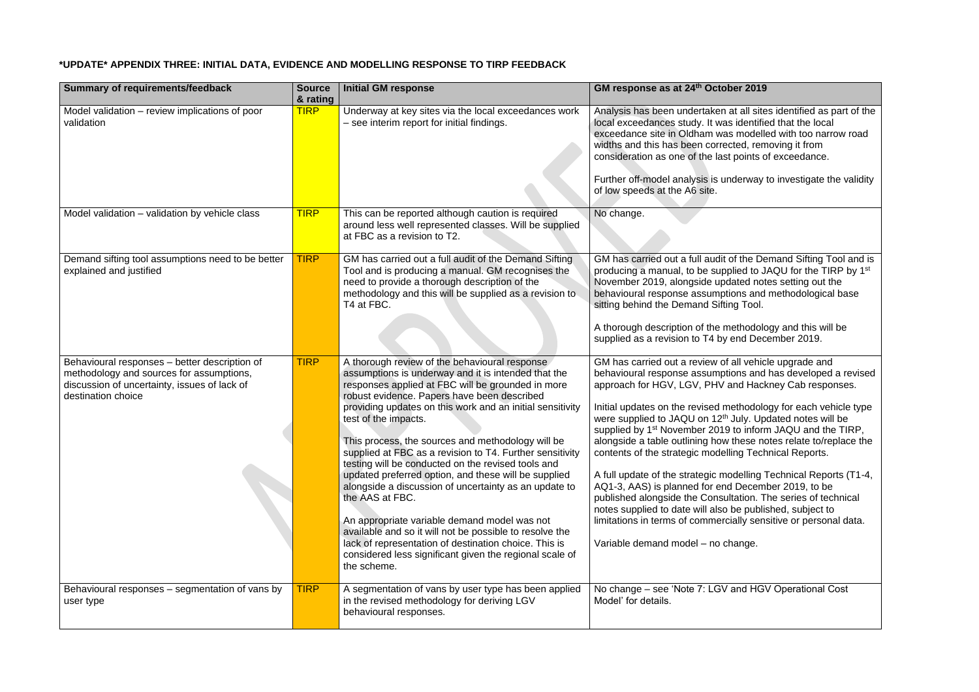## **\*UPDATE\* APPENDIX THREE: INITIAL DATA, EVIDENCE AND MODELLING RESPONSE TO TIRP FEEDBACK**

| <b>Summary of requirements/feedback</b>                                                                                                                         | <b>Source</b><br>& rating | <b>Initial GM response</b>                                                                                                                                                                                                                                                                                                                                                                                                                                                                                                                                                                                                                                                                                                                                                                                                                             | GM response as at 24th October 2019                                                                                                                                                                                                                                                                                                                                                                                                                                                                                                                                                                                                                                                                                                                                                                                                                                                                       |
|-----------------------------------------------------------------------------------------------------------------------------------------------------------------|---------------------------|--------------------------------------------------------------------------------------------------------------------------------------------------------------------------------------------------------------------------------------------------------------------------------------------------------------------------------------------------------------------------------------------------------------------------------------------------------------------------------------------------------------------------------------------------------------------------------------------------------------------------------------------------------------------------------------------------------------------------------------------------------------------------------------------------------------------------------------------------------|-----------------------------------------------------------------------------------------------------------------------------------------------------------------------------------------------------------------------------------------------------------------------------------------------------------------------------------------------------------------------------------------------------------------------------------------------------------------------------------------------------------------------------------------------------------------------------------------------------------------------------------------------------------------------------------------------------------------------------------------------------------------------------------------------------------------------------------------------------------------------------------------------------------|
| Model validation – review implications of poor<br>validation                                                                                                    | <b>TIRP</b>               | Underway at key sites via the local exceedances work<br>- see interim report for initial findings.                                                                                                                                                                                                                                                                                                                                                                                                                                                                                                                                                                                                                                                                                                                                                     | Analysis has been undertaken at all sites identified as part of the<br>local exceedances study. It was identified that the local<br>exceedance site in Oldham was modelled with too narrow road<br>widths and this has been corrected, removing it from<br>consideration as one of the last points of exceedance.<br>Further off-model analysis is underway to investigate the validity<br>of low speeds at the A6 site.                                                                                                                                                                                                                                                                                                                                                                                                                                                                                  |
| Model validation - validation by vehicle class                                                                                                                  | <b>TIRP</b>               | This can be reported although caution is required<br>around less well represented classes. Will be supplied<br>at FBC as a revision to T2.                                                                                                                                                                                                                                                                                                                                                                                                                                                                                                                                                                                                                                                                                                             | No change.                                                                                                                                                                                                                                                                                                                                                                                                                                                                                                                                                                                                                                                                                                                                                                                                                                                                                                |
| Demand sifting tool assumptions need to be better<br>explained and justified                                                                                    | <b>TIRP</b>               | GM has carried out a full audit of the Demand Sifting<br>Tool and is producing a manual. GM recognises the<br>need to provide a thorough description of the<br>methodology and this will be supplied as a revision to<br>T4 at FBC.                                                                                                                                                                                                                                                                                                                                                                                                                                                                                                                                                                                                                    | GM has carried out a full audit of the Demand Sifting Tool and is<br>producing a manual, to be supplied to JAQU for the TIRP by 1 <sup>st</sup><br>November 2019, alongside updated notes setting out the<br>behavioural response assumptions and methodological base<br>sitting behind the Demand Sifting Tool.<br>A thorough description of the methodology and this will be                                                                                                                                                                                                                                                                                                                                                                                                                                                                                                                            |
|                                                                                                                                                                 |                           |                                                                                                                                                                                                                                                                                                                                                                                                                                                                                                                                                                                                                                                                                                                                                                                                                                                        | supplied as a revision to T4 by end December 2019.                                                                                                                                                                                                                                                                                                                                                                                                                                                                                                                                                                                                                                                                                                                                                                                                                                                        |
| Behavioural responses - better description of<br>methodology and sources for assumptions,<br>discussion of uncertainty, issues of lack of<br>destination choice | <b>TIRP</b>               | A thorough review of the behavioural response<br>assumptions is underway and it is intended that the<br>responses applied at FBC will be grounded in more<br>robust evidence. Papers have been described<br>providing updates on this work and an initial sensitivity<br>test of the impacts.<br>This process, the sources and methodology will be<br>supplied at FBC as a revision to T4. Further sensitivity<br>testing will be conducted on the revised tools and<br>updated preferred option, and these will be supplied<br>alongside a discussion of uncertainty as an update to<br>the AAS at FBC.<br>An appropriate variable demand model was not<br>available and so it will not be possible to resolve the<br>lack of representation of destination choice. This is<br>considered less significant given the regional scale of<br>the scheme. | GM has carried out a review of all vehicle upgrade and<br>behavioural response assumptions and has developed a revised<br>approach for HGV, LGV, PHV and Hackney Cab responses.<br>Initial updates on the revised methodology for each vehicle type<br>were supplied to JAQU on 12 <sup>th</sup> July. Updated notes will be<br>supplied by 1 <sup>st</sup> November 2019 to inform JAQU and the TIRP,<br>alongside a table outlining how these notes relate to/replace the<br>contents of the strategic modelling Technical Reports.<br>A full update of the strategic modelling Technical Reports (T1-4,<br>AQ1-3, AAS) is planned for end December 2019, to be<br>published alongside the Consultation. The series of technical<br>notes supplied to date will also be published, subject to<br>limitations in terms of commercially sensitive or personal data.<br>Variable demand model - no change. |
| Behavioural responses – segmentation of vans by<br>user type                                                                                                    | <b>TIRP</b>               | A segmentation of vans by user type has been applied<br>in the revised methodology for deriving LGV<br>behavioural responses.                                                                                                                                                                                                                                                                                                                                                                                                                                                                                                                                                                                                                                                                                                                          | No change – see 'Note 7: LGV and HGV Operational Cost<br>Model' for details.                                                                                                                                                                                                                                                                                                                                                                                                                                                                                                                                                                                                                                                                                                                                                                                                                              |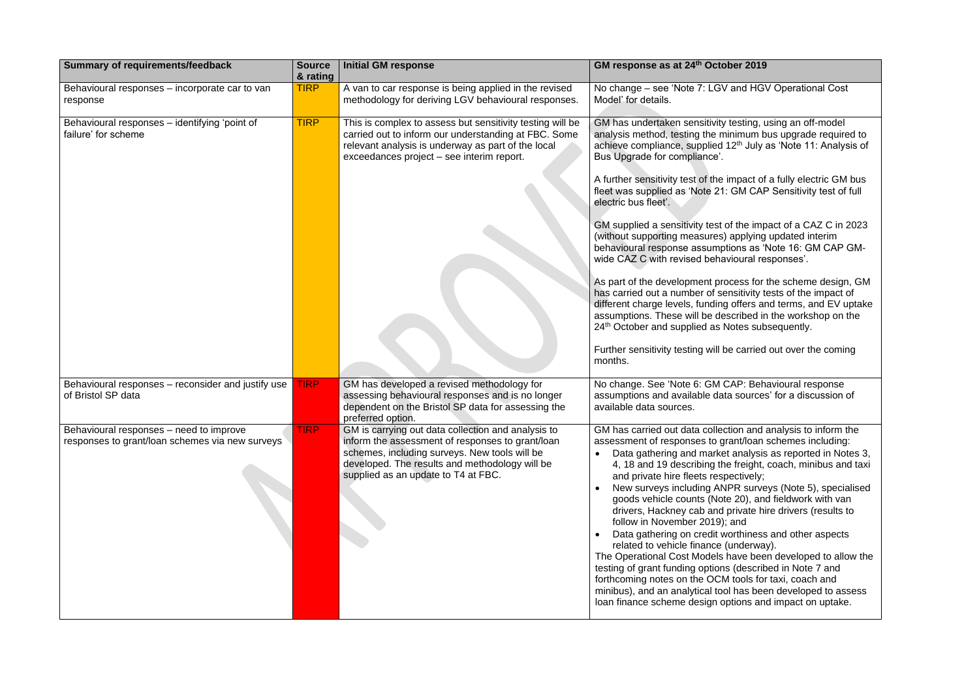| <b>Summary of requirements/feedback</b>                                                    | <b>Source</b><br>& rating | <b>Initial GM response</b>                                                                                                                                                                                                                       | GM response as at 24th October 2019                                                                                                                                                                                                                                                                                                                                                                                                                                                                                                                                                                                                                                                                                                                                                                                                                                                                                                                                                                                                                           |
|--------------------------------------------------------------------------------------------|---------------------------|--------------------------------------------------------------------------------------------------------------------------------------------------------------------------------------------------------------------------------------------------|---------------------------------------------------------------------------------------------------------------------------------------------------------------------------------------------------------------------------------------------------------------------------------------------------------------------------------------------------------------------------------------------------------------------------------------------------------------------------------------------------------------------------------------------------------------------------------------------------------------------------------------------------------------------------------------------------------------------------------------------------------------------------------------------------------------------------------------------------------------------------------------------------------------------------------------------------------------------------------------------------------------------------------------------------------------|
| Behavioural responses – incorporate car to van<br>response                                 | <b>TIRP</b>               | A van to car response is being applied in the revised<br>methodology for deriving LGV behavioural responses.                                                                                                                                     | No change – see 'Note 7: LGV and HGV Operational Cost<br>Model' for details.                                                                                                                                                                                                                                                                                                                                                                                                                                                                                                                                                                                                                                                                                                                                                                                                                                                                                                                                                                                  |
| Behavioural responses - identifying 'point of<br>failure' for scheme                       | <b>TIRP</b>               | This is complex to assess but sensitivity testing will be<br>carried out to inform our understanding at FBC. Some<br>relevant analysis is underway as part of the local<br>exceedances project - see interim report.                             | GM has undertaken sensitivity testing, using an off-model<br>analysis method, testing the minimum bus upgrade required to<br>achieve compliance, supplied 12 <sup>th</sup> July as 'Note 11: Analysis of<br>Bus Upgrade for compliance'.<br>A further sensitivity test of the impact of a fully electric GM bus<br>fleet was supplied as 'Note 21: GM CAP Sensitivity test of full<br>electric bus fleet'.<br>GM supplied a sensitivity test of the impact of a CAZ C in 2023<br>(without supporting measures) applying updated interim<br>behavioural response assumptions as 'Note 16: GM CAP GM-<br>wide CAZ C with revised behavioural responses'.<br>As part of the development process for the scheme design, GM<br>has carried out a number of sensitivity tests of the impact of<br>different charge levels, funding offers and terms, and EV uptake<br>assumptions. These will be described in the workshop on the<br>24th October and supplied as Notes subsequently.<br>Further sensitivity testing will be carried out over the coming<br>months. |
| Behavioural responses - reconsider and justify use<br>of Bristol SP data                   | <b>TIRP</b>               | GM has developed a revised methodology for<br>assessing behavioural responses and is no longer<br>dependent on the Bristol SP data for assessing the<br>preferred option.                                                                        | No change. See 'Note 6: GM CAP: Behavioural response<br>assumptions and available data sources' for a discussion of<br>available data sources.                                                                                                                                                                                                                                                                                                                                                                                                                                                                                                                                                                                                                                                                                                                                                                                                                                                                                                                |
| Behavioural responses – need to improve<br>responses to grant/loan schemes via new surveys | <b>TIRP</b>               | GM is carrying out data collection and analysis to<br>inform the assessment of responses to grant/loan<br>schemes, including surveys. New tools will be<br>developed. The results and methodology will be<br>supplied as an update to T4 at FBC. | GM has carried out data collection and analysis to inform the<br>assessment of responses to grant/loan schemes including:<br>Data gathering and market analysis as reported in Notes 3,<br>4, 18 and 19 describing the freight, coach, minibus and taxi<br>and private hire fleets respectively;<br>New surveys including ANPR surveys (Note 5), specialised<br>goods vehicle counts (Note 20), and fieldwork with van<br>drivers, Hackney cab and private hire drivers (results to<br>follow in November 2019); and<br>Data gathering on credit worthiness and other aspects<br>related to vehicle finance (underway).<br>The Operational Cost Models have been developed to allow the<br>testing of grant funding options (described in Note 7 and<br>forthcoming notes on the OCM tools for taxi, coach and<br>minibus), and an analytical tool has been developed to assess<br>loan finance scheme design options and impact on uptake.                                                                                                                   |

| n | z |
|---|---|
|---|---|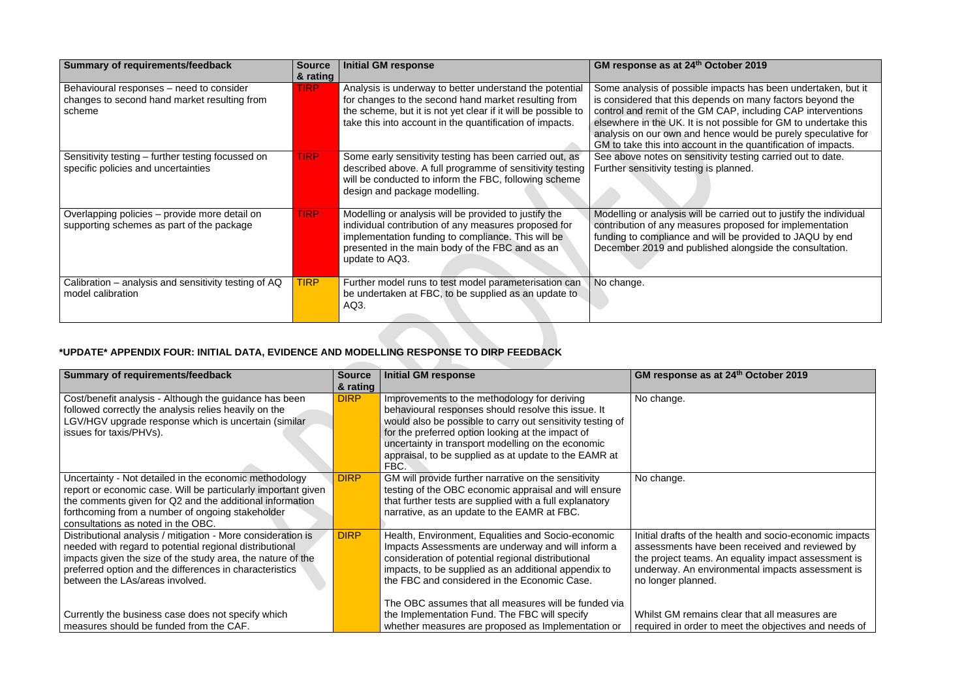| <b>Summary of requirements/feedback</b>                                                            | <b>Source</b><br>& rating | <b>Initial GM response</b>                                                                                                                                                                                                                   | GM response as at 24th October 2019                                                                                                                                                                                                                                                                                                                                                                |
|----------------------------------------------------------------------------------------------------|---------------------------|----------------------------------------------------------------------------------------------------------------------------------------------------------------------------------------------------------------------------------------------|----------------------------------------------------------------------------------------------------------------------------------------------------------------------------------------------------------------------------------------------------------------------------------------------------------------------------------------------------------------------------------------------------|
| Behavioural responses – need to consider<br>changes to second hand market resulting from<br>scheme | <b>TIRP</b>               | Analysis is underway to better understand the potential<br>for changes to the second hand market resulting from<br>the scheme, but it is not yet clear if it will be possible to<br>take this into account in the quantification of impacts. | Some analysis of possible impacts has been undertaken, but it<br>is considered that this depends on many factors beyond the<br>control and remit of the GM CAP, including CAP interventions<br>elsewhere in the UK. It is not possible for GM to undertake this<br>analysis on our own and hence would be purely speculative for<br>GM to take this into account in the quantification of impacts. |
| Sensitivity testing - further testing focussed on<br>specific policies and uncertainties           | <b>TIRP</b>               | Some early sensitivity testing has been carried out, as<br>described above. A full programme of sensitivity testing<br>will be conducted to inform the FBC, following scheme<br>design and package modelling.                                | See above notes on sensitivity testing carried out to date.<br>Further sensitivity testing is planned.                                                                                                                                                                                                                                                                                             |
| Overlapping policies – provide more detail on<br>supporting schemes as part of the package         | <b>TIRP</b>               | Modelling or analysis will be provided to justify the<br>individual contribution of any measures proposed for<br>implementation funding to compliance. This will be<br>presented in the main body of the FBC and as an<br>update to AQ3.     | Modelling or analysis will be carried out to justify the individual<br>contribution of any measures proposed for implementation<br>funding to compliance and will be provided to JAQU by end<br>December 2019 and published alongside the consultation.                                                                                                                                            |
| Calibration – analysis and sensitivity testing of AQ<br>model calibration                          | <b>TIRP</b>               | Further model runs to test model parameterisation can<br>be undertaken at FBC, to be supplied as an update to<br>AQ3.                                                                                                                        | No change.                                                                                                                                                                                                                                                                                                                                                                                         |

## **\*UPDATE\* APPENDIX FOUR: INITIAL DATA, EVIDENCE AND MODELLING RESPONSE TO DIRP FEEDBACK**

| <b>Summary of requirements/feedback</b>                                                                                                                                                                                                                                              | <b>Source</b><br>& rating | <b>Initial GM response</b>                                                                                                                                                                                                                                                                                                                    | GM response as at 24 <sup>th</sup>                                                                                                |
|--------------------------------------------------------------------------------------------------------------------------------------------------------------------------------------------------------------------------------------------------------------------------------------|---------------------------|-----------------------------------------------------------------------------------------------------------------------------------------------------------------------------------------------------------------------------------------------------------------------------------------------------------------------------------------------|-----------------------------------------------------------------------------------------------------------------------------------|
| Cost/benefit analysis - Although the guidance has been<br>followed correctly the analysis relies heavily on the<br>LGV/HGV upgrade response which is uncertain (similar<br>issues for taxis/PHVs).                                                                                   | <b>DIRP</b>               | Improvements to the methodology for deriving<br>behavioural responses should resolve this issue. It<br>would also be possible to carry out sensitivity testing of<br>for the preferred option looking at the impact of<br>uncertainty in transport modelling on the economic<br>appraisal, to be supplied as at update to the EAMR at<br>FBC. | No change.                                                                                                                        |
| Uncertainty - Not detailed in the economic methodology<br>report or economic case. Will be particularly important given<br>the comments given for Q2 and the additional information<br>forthcoming from a number of ongoing stakeholder<br>consultations as noted in the OBC.        | <b>DIRP</b>               | GM will provide further narrative on the sensitivity<br>testing of the OBC economic appraisal and will ensure<br>that further tests are supplied with a full explanatory<br>narrative, as an update to the EAMR at FBC.                                                                                                                       | No change.                                                                                                                        |
| Distributional analysis / mitigation - More consideration is<br>needed with regard to potential regional distributional<br>impacts given the size of the study area, the nature of the<br>preferred option and the differences in characteristics<br>between the LAs/areas involved. | <b>DIRP</b>               | Health, Environment, Equalities and Socio-economic<br>Impacts Assessments are underway and will inform a<br>consideration of potential regional distributional<br>impacts, to be supplied as an additional appendix to<br>the FBC and considered in the Economic Case.                                                                        | Initial drafts of the health<br>assessments have been<br>the project teams. An eq<br>underway. An environme<br>no longer planned. |
| Currently the business case does not specify which<br>measures should be funded from the CAF.                                                                                                                                                                                        |                           | The OBC assumes that all measures will be funded via<br>the Implementation Fund. The FBC will specify<br>whether measures are proposed as Implementation or                                                                                                                                                                                   | Whilst GM remains clear<br>required in order to mee                                                                               |

## *<u>I* October 2019</u>

I and socio-economic impacts received and reviewed by quality impact assessment is ental impacts assessment is

r that all measures are et the objectives and needs of